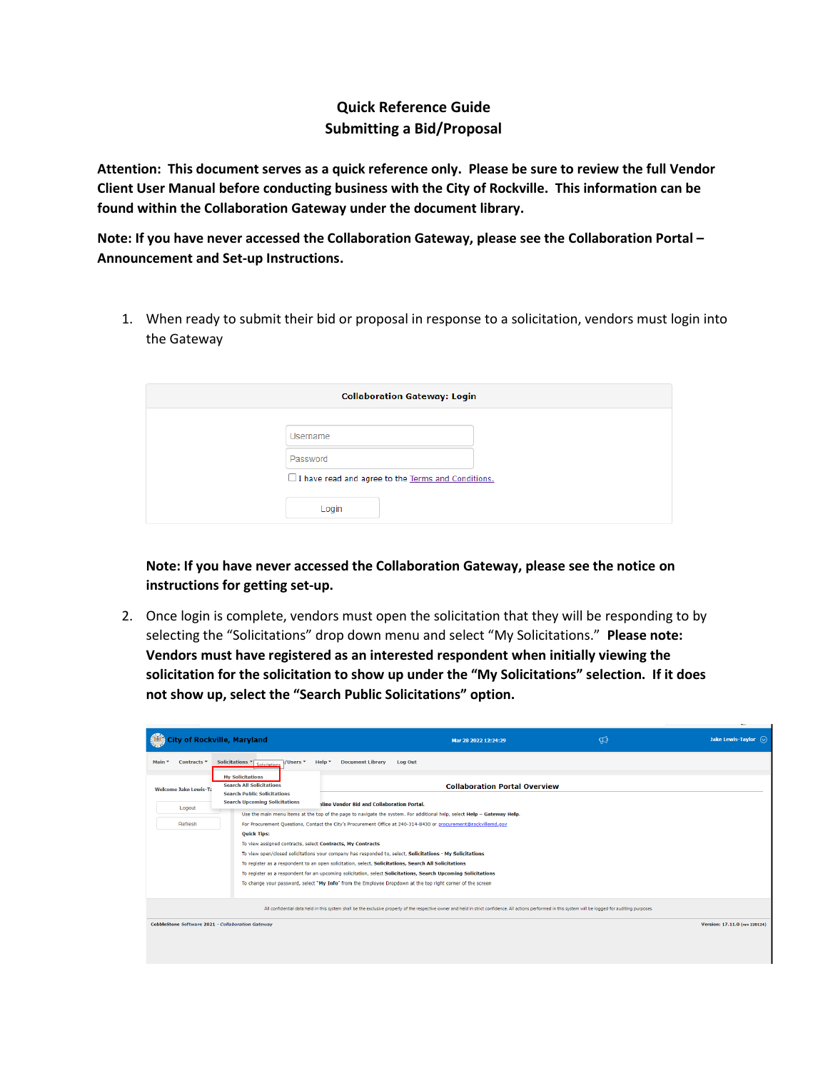## **Quick Reference Guide Submitting a Bid/Proposal**

**Attention: This document serves as a quick reference only. Please be sure to review the full Vendor Client User Manual before conducting business with the City of Rockville. This information can be found within the Collaboration Gateway under the document library.**

**Note: If you have never accessed the Collaboration Gateway, please see the Collaboration Portal – Announcement and Set-up Instructions.**

1. When ready to submit their bid or proposal in response to a solicitation, vendors must login into the Gateway

| <b>Collaboration Gateway: Login</b> |                                                    |  |
|-------------------------------------|----------------------------------------------------|--|
|                                     |                                                    |  |
|                                     | Username                                           |  |
|                                     | Password                                           |  |
|                                     | I have read and agree to the Terms and Conditions. |  |
|                                     | Login                                              |  |

**Note: If you have never accessed the Collaboration Gateway, please see the notice on instructions for getting set-up.**

2. Once login is complete, vendors must open the solicitation that they will be responding to by selecting the "Solicitations" drop down menu and select "My Solicitations." **Please note: Vendors must have registered as an interested respondent when initially viewing the solicitation for the solicitation to show up under the "My Solicitations" selection. If it does not show up, select the "Search Public Solicitations" option.** 

|        |                        | of Rockville, Maryland                                                                                                                   |                                                                                                      | Mar 28 2022 12:24:29                                                                                                                                                                                                                                                                                                                     | ୍ଲ | Jake Lewis-Taylor $\left\langle \right\rangle$ |
|--------|------------------------|------------------------------------------------------------------------------------------------------------------------------------------|------------------------------------------------------------------------------------------------------|------------------------------------------------------------------------------------------------------------------------------------------------------------------------------------------------------------------------------------------------------------------------------------------------------------------------------------------|----|------------------------------------------------|
| Main * | Contracts <sup>*</sup> | Solicitations $\sqrt{\frac{1}{\sqrt{\frac{1}{c}}}}$<br>7/Users *                                                                         | <b>Document Library</b><br>Help $\tau$                                                               | Log Out                                                                                                                                                                                                                                                                                                                                  |    |                                                |
|        | Welcome Jake Lewis-Ta  | <b>My Solicitations</b><br><b>Search All Solicitations</b><br><b>Search Public Solicitations</b><br><b>Search Upcoming Solicitations</b> |                                                                                                      | <b>Collaboration Portal Overview</b>                                                                                                                                                                                                                                                                                                     |    |                                                |
|        | Logout                 |                                                                                                                                          | aline Vendor Bid and Collaboration Portal.                                                           | Use the main menu items at the top of the page to navigate the system. For additional help, select Help - Gateway Help.                                                                                                                                                                                                                  |    |                                                |
|        | Refresh                | For Procurement Questions, Contact the City's Procurement Office at 240-314-8430 or procurement@rockvillemd.gov                          |                                                                                                      |                                                                                                                                                                                                                                                                                                                                          |    |                                                |
|        |                        | <b>Ouick Tips:</b><br>To view assigned contracts, select Contracts, My Contracts                                                         | To register as a respondent to an open solicitation, select, Solicitations, Search All Solicitations | To view open/closed solicitations your company has responded to, select, Solicitations - My Solicitations<br>To register as a respondent for an upcoming solicitation, select Solicitations, Search Upcoming Solicitations<br>To change your password, select "My Info" from the Employee Dropdown at the top right corner of the screen |    |                                                |
|        |                        |                                                                                                                                          |                                                                                                      | All confidential data held in this system shall be the exclusive property of the respective owner and held in strict confidence. All actions performed in this system will be logged for auditing purposes.                                                                                                                              |    |                                                |
|        |                        | <b>CobbleStone Software 2021 - Collaboration Gateway</b>                                                                                 |                                                                                                      |                                                                                                                                                                                                                                                                                                                                          |    | Version: 17.11.0 (rev 220124)                  |
|        |                        |                                                                                                                                          |                                                                                                      |                                                                                                                                                                                                                                                                                                                                          |    |                                                |